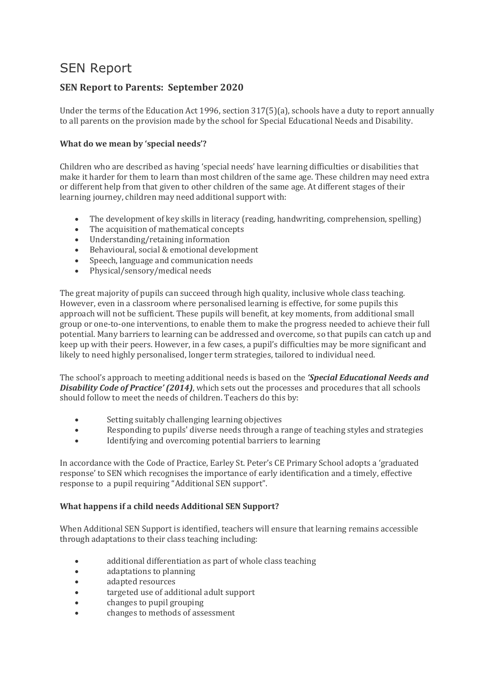# SEN Report

# **SEN Report to Parents: September 2020**

Under the terms of the Education Act 1996, section 317(5)(a), schools have a duty to report annually to all parents on the provision made by the school for Special Educational Needs and Disability.

## **What do we mean by 'special needs'?**

Children who are described as having 'special needs' have learning difficulties or disabilities that make it harder for them to learn than most children of the same age. These children may need extra or different help from that given to other children of the same age. At different stages of their learning journey, children may need additional support with:

- The development of key skills in literacy (reading, handwriting, comprehension, spelling)
- The acquisition of mathematical concepts
- Understanding/retaining information
- Behavioural, social & emotional development
- Speech, language and communication needs
- Physical/sensory/medical needs

The great majority of pupils can succeed through high quality, inclusive whole class teaching. However, even in a classroom where personalised learning is effective, for some pupils this approach will not be sufficient. These pupils will benefit, at key moments, from additional small group or one-to-one interventions, to enable them to make the progress needed to achieve their full potential. Many barriers to learning can be addressed and overcome, so that pupils can catch up and keep up with their peers. However, in a few cases, a pupil's difficulties may be more significant and likely to need highly personalised, longer term strategies, tailored to individual need.

The school's approach to meeting additional needs is based on the *'Special Educational Needs and Disability Code of Practice' (2014)*, which sets out the processes and procedures that all schools should follow to meet the needs of children. Teachers do this by:

- Setting suitably challenging learning objectives
- Responding to pupils' diverse needs through a range of teaching styles and strategies
- Identifying and overcoming potential barriers to learning

In accordance with the Code of Practice, Earley St. Peter's CE Primary School adopts a 'graduated response' to SEN which recognises the importance of early identification and a timely, effective response to a pupil requiring "Additional SEN support".

# **What happens if a child needs Additional SEN Support?**

When Additional SEN Support is identified, teachers will ensure that learning remains accessible through adaptations to their class teaching including:

- additional differentiation as part of whole class teaching
- adaptations to planning
- adapted resources
- targeted use of additional adult support
- changes to pupil grouping
- changes to methods of assessment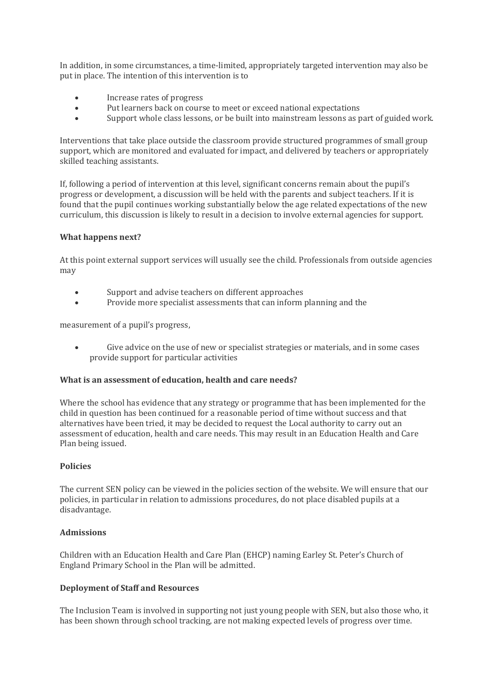In addition, in some circumstances, a time-limited, appropriately targeted intervention may also be put in place. The intention of this intervention is to

- Increase rates of progress
- Put learners back on course to meet or exceed national expectations
- Support whole class lessons, or be built into mainstream lessons as part of guided work.

Interventions that take place outside the classroom provide structured programmes of small group support, which are monitored and evaluated for impact, and delivered by teachers or appropriately skilled teaching assistants.

If, following a period of intervention at this level, significant concerns remain about the pupil's progress or development, a discussion will be held with the parents and subject teachers. If it is found that the pupil continues working substantially below the age related expectations of the new curriculum, this discussion is likely to result in a decision to involve external agencies for support.

### **What happens next?**

At this point external support services will usually see the child. Professionals from outside agencies may

- Support and advise teachers on different approaches
- Provide more specialist assessments that can inform planning and the

measurement of a pupil's progress,

 Give advice on the use of new or specialist strategies or materials, and in some cases provide support for particular activities

#### **What is an assessment of education, health and care needs?**

Where the school has evidence that any strategy or programme that has been implemented for the child in question has been continued for a reasonable period of time without success and that alternatives have been tried, it may be decided to request the Local authority to carry out an assessment of education, health and care needs. This may result in an Education Health and Care Plan being issued.

#### **Policies**

The current SEN policy can be viewed in the policies section of the website. We will ensure that our policies, in particular in relation to admissions procedures, do not place disabled pupils at a disadvantage.

#### **Admissions**

Children with an Education Health and Care Plan (EHCP) naming Earley St. Peter's Church of England Primary School in the Plan will be admitted.

#### **Deployment of Staff and Resources**

The Inclusion Team is involved in supporting not just young people with SEN, but also those who, it has been shown through school tracking, are not making expected levels of progress over time.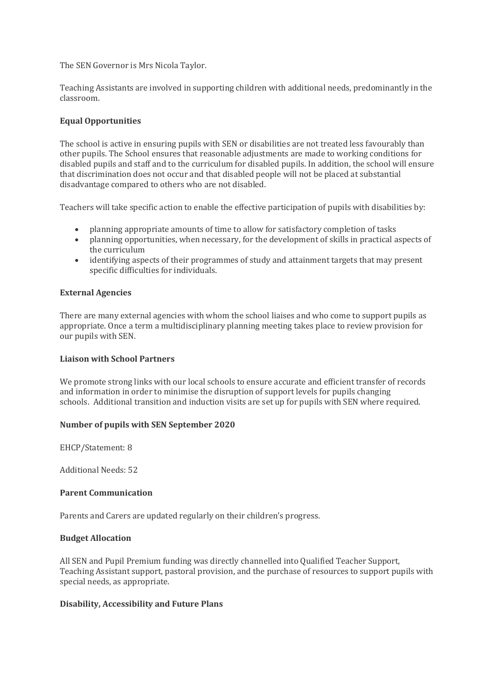The SEN Governor is Mrs Nicola Taylor.

Teaching Assistants are involved in supporting children with additional needs, predominantly in the classroom.

#### **Equal Opportunities**

The school is active in ensuring pupils with SEN or disabilities are not treated less favourably than other pupils. The School ensures that reasonable adjustments are made to working conditions for disabled pupils and staff and to the curriculum for disabled pupils. In addition, the school will ensure that discrimination does not occur and that disabled people will not be placed at substantial disadvantage compared to others who are not disabled.

Teachers will take specific action to enable the effective participation of pupils with disabilities by:

- planning appropriate amounts of time to allow for satisfactory completion of tasks
- planning opportunities, when necessary, for the development of skills in practical aspects of the curriculum
- identifying aspects of their programmes of study and attainment targets that may present specific difficulties for individuals.

#### **External Agencies**

There are many external agencies with whom the school liaises and who come to support pupils as appropriate. Once a term a multidisciplinary planning meeting takes place to review provision for our pupils with SEN.

#### **Liaison with School Partners**

We promote strong links with our local schools to ensure accurate and efficient transfer of records and information in order to minimise the disruption of support levels for pupils changing schools. Additional transition and induction visits are set up for pupils with SEN where required.

#### **Number of pupils with SEN September 2020**

EHCP/Statement: 8

Additional Needs: 52

#### **Parent Communication**

Parents and Carers are updated regularly on their children's progress.

#### **Budget Allocation**

All SEN and Pupil Premium funding was directly channelled into Qualified Teacher Support, Teaching Assistant support, pastoral provision, and the purchase of resources to support pupils with special needs, as appropriate.

#### **Disability, Accessibility and Future Plans**